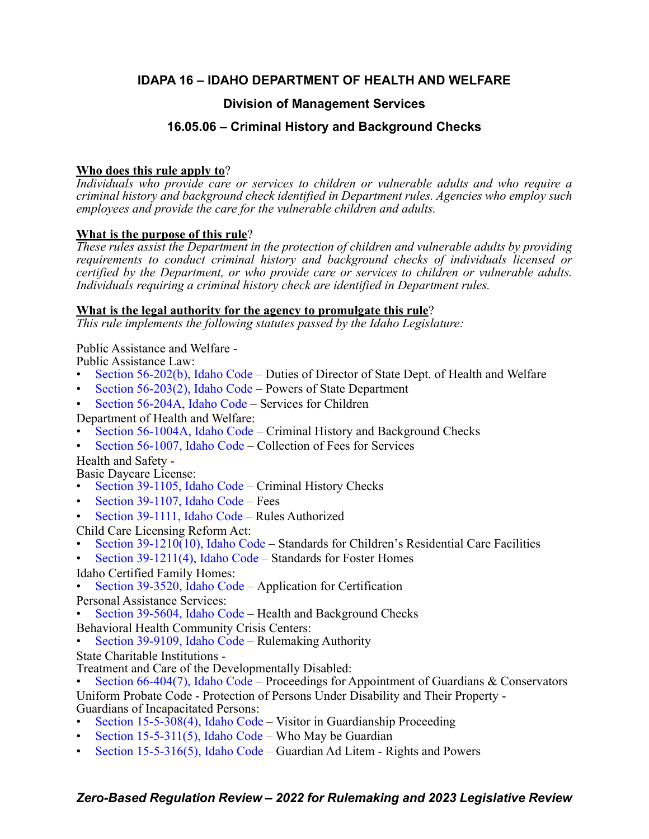# **IDAPA 16 – IDAHO DEPARTMENT OF HEALTH AND WELFARE**

# **Division of Management Services**

# **16.05.06 – Criminal History and Background Checks**

# **Who does this rule apply to**?

*Individuals who provide care or services to children or vulnerable adults and who require a criminal history and background check identified in Department rules. Agencies who employ such employees and provide the care for the vulnerable children and adults.*

# **What is the purpose of this rule**?

*These rules assist the Department in the protection of children and vulnerable adults by providing requirements to conduct criminal history and background checks of individuals licensed or certified by the Department, or who provide care or services to children or vulnerable adults. Individuals requiring a criminal history check are identified in Department rules.*

# **What is the legal authority for the agency to promulgate this rule**?

*This rule implements the following statutes passed by the Idaho Legislature:*

# Public Assistance and Welfare -

Public Assistance Law:

- [Section 56-202\(b\), Idaho Code](https://legislature.idaho.gov/statutesrules/idstat/Title56/T56CH2/SECT56-202/)  Duties of Director of State Dept. of Health and Welfare
- Section  $56-203(2)$ , Idaho Code Powers of State Department
- [Section 56-204A, Idaho Code](https://legislature.idaho.gov/statutesrules/idstat/Title56/T56CH2/SECT56-204A/) Services for Children
- Department of Health and Welfare:
- [Section 56-1004A, Idaho Code](https://legislature.idaho.gov/statutesrules/idstat/Title56/T56CH10/SECT56-1004A/) Criminal History and Background Checks
- [Section 56-1007, Idaho Code](https://legislature.idaho.gov/statutesrules/idstat/Title56/T56CH10/SECT56-1007/)  Collection of Fees for Services

Health and Safety -

Basic Daycare License:

- [Section 39-1105, Idaho Code](https://legislature.idaho.gov/statutesrules/idstat/Title39/T39CH11/SECT39-1105/) Criminal History Checks
- [Section 39-1107, Idaho Code](https://legislature.idaho.gov/statutesrules/idstat/Title39/T39CH11/SECT39-1107/) Fees
- [Section 39-1111, Idaho Code](https://legislature.idaho.gov/statutesrules/idstat/Title39/T39CH11/SECT39-1111/) Rules Authorized

Child Care Licensing Reform Act:

Section  $39-1210(10)$ , Idaho Code – Standards for Children's Residential Care Facilities

• [Section 39-1211\(4\), Idaho Code](https://legislature.idaho.gov/statutesrules/idstat/Title39/T39CH12/SECT39-1211/) – Standards for Foster Homes

- Idaho Certified Family Homes:
- [Section 39-3520, Idaho Code](https://legislature.idaho.gov/statutesrules/idstat/Title39/T39CH35/SECT39-3520/)  Application for Certification

Personal Assistance Services:

- [Section 39-5604, Idaho Code](https://legislature.idaho.gov/statutesrules/idstat/Title39/T39CH56/SECT39-5604/)  Health and Background Checks
- Behavioral Health Community Crisis Centers:
- [Section 39-9109, Idaho Code](https://legislature.idaho.gov/statutesrules/idstat/Title39/T39CH91/SECT39-9109/)  Rulemaking Authority
- State Charitable Institutions -
- 
- Treatment and Care of the Developmentally Disabled:<br>• [Section 66-404\(7\), Idaho Code](https://legislature.idaho.gov/statutesrules/idstat/Title66/T66CH4/SECT66-404/)  Proceedings for Appointment of Guardians & Conservators

Uniform Probate Code - Protection of Persons Under Disability and Their Property - Guardians of Incapacitated Persons:

- [Section 15-5-308\(4\), Idaho Code](https://legislature.idaho.gov/statutesrules/idstat/Title15/T15CH5/SECT15-5-308/)  Visitor in Guardianship Proceeding
- [Section 15-5-311\(5\), Idaho Code](https://legislature.idaho.gov/statutesrules/idstat/Title15/T15CH5/SECT15-5-311/) Who May be Guardian
- [Section 15-5-316\(5\), Idaho Code](https://legislature.idaho.gov/statutesrules/idstat/Title15/T15CH5/SECT15-5-316/)  Guardian Ad Litem Rights and Powers

# *Zero-Based Regulation Review – 2022 for Rulemaking and 2023 Legislative Review*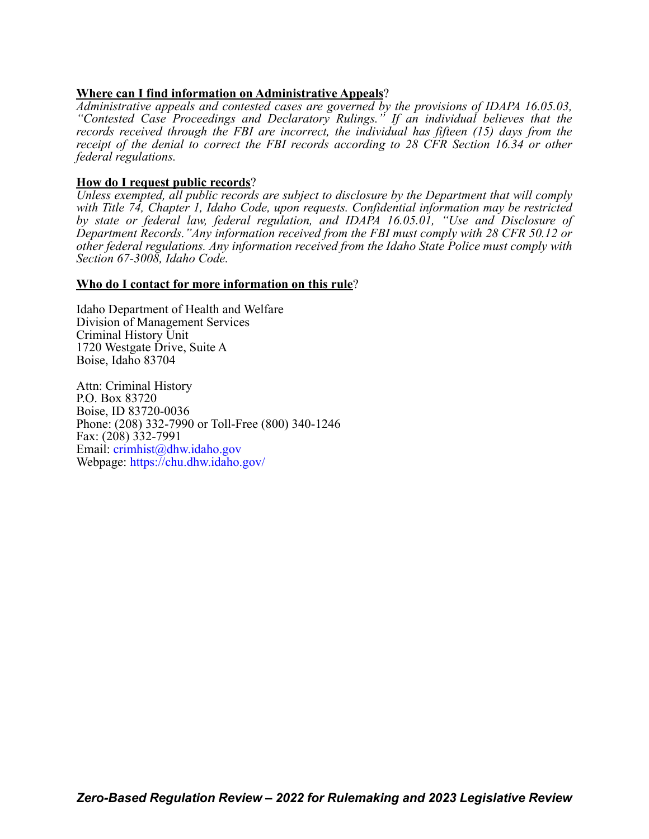# **Where can I find information on Administrative Appeals**?

*Administrative appeals and contested cases are governed by the provisions of IDAPA 16.05.03, "Contested Case Proceedings and Declaratory Rulings." If an individual believes that the records received through the FBI are incorrect, the individual has fifteen (15) days from the receipt of the denial to correct the FBI records according to 28 CFR Section 16.34 or other federal regulations.*

# **How do I request public records**?

*Unless exempted, all public records are subject to disclosure by the Department that will comply with Title 74, Chapter 1, Idaho Code, upon requests. Confidential information may be restricted by state or federal law, federal regulation, and IDAPA 16.05.01, "Use and Disclosure of Department Records."Any information received from the FBI must comply with 28 CFR 50.12 or other federal regulations. Any information received from the Idaho State Police must comply with Section 67-3008, Idaho Code.*

## **Who do I contact for more information on this rule**?

Idaho Department of Health and Welfare Division of Management Services Criminal History Unit 1720 Westgate Drive, Suite A Boise, Idaho 83704

Attn: Criminal History P.O. Box 83720 Boise, ID 83720-0036 Phone: (208) 332-7990 or Toll-Free (800) 340-1246 Fax: (208) 332-7991 Email: [crimhist@dhw.idaho.gov](mailto:crimhist@dhw.idaho.gov) Webpage: <https://chu.dhw.idaho.gov/>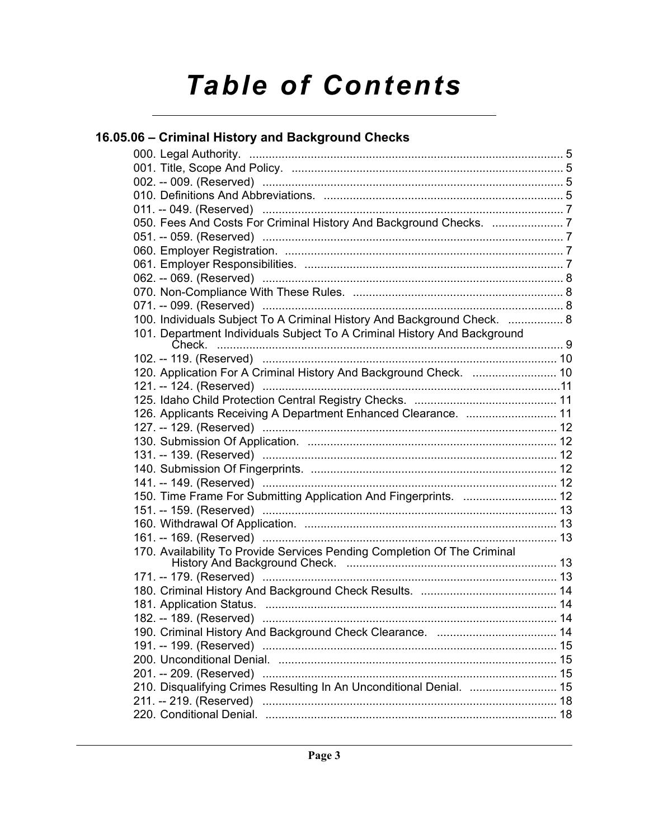# **Table of Contents**

# 16.05.06 - Criminal History and Background Checks

| 100. Individuals Subject To A Criminal History And Background Check.  8  |  |
|--------------------------------------------------------------------------|--|
| 101. Department Individuals Subject To A Criminal History And Background |  |
|                                                                          |  |
| 120. Application For A Criminal History And Background Check.  10        |  |
|                                                                          |  |
|                                                                          |  |
|                                                                          |  |
| 126. Applicants Receiving A Department Enhanced Clearance.  11           |  |
|                                                                          |  |
|                                                                          |  |
|                                                                          |  |
|                                                                          |  |
|                                                                          |  |
| 150. Time Frame For Submitting Application And Fingerprints.  12         |  |
|                                                                          |  |
|                                                                          |  |
|                                                                          |  |
| 170. Availability To Provide Services Pending Completion Of The Criminal |  |
|                                                                          |  |
|                                                                          |  |
|                                                                          |  |
|                                                                          |  |
|                                                                          |  |
|                                                                          |  |
|                                                                          |  |
|                                                                          |  |
|                                                                          |  |
| 210. Disqualifying Crimes Resulting In An Unconditional Denial.  15      |  |
|                                                                          |  |
|                                                                          |  |
|                                                                          |  |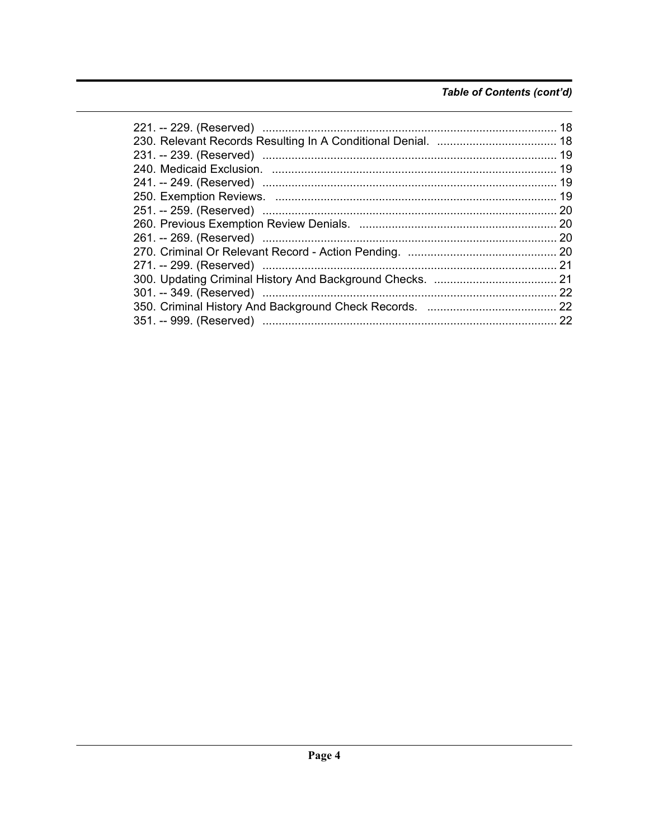# Table of Contents (cont'd)

| 18  |
|-----|
|     |
|     |
|     |
|     |
|     |
|     |
|     |
|     |
|     |
| 21  |
|     |
|     |
|     |
| -22 |
|     |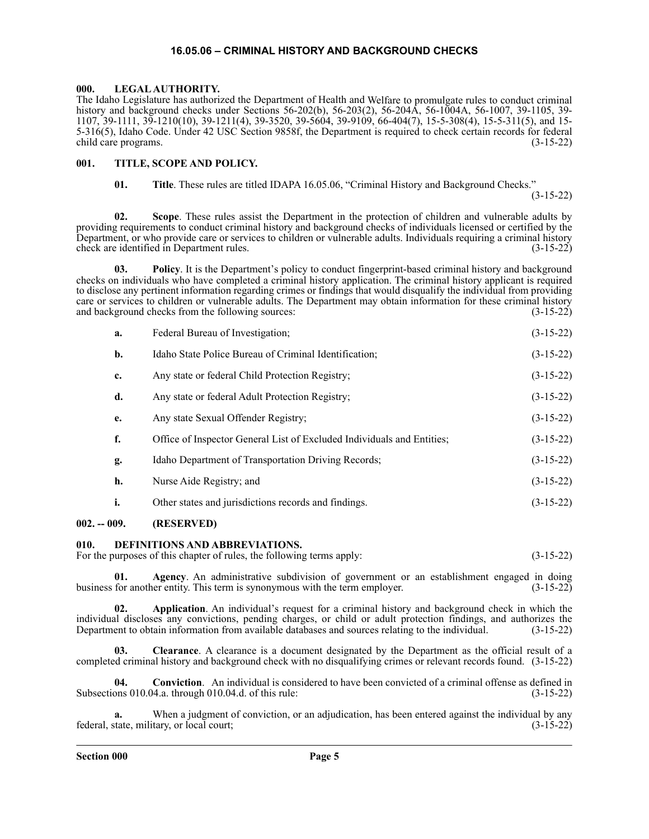#### **16.05.06 – CRIMINAL HISTORY AND BACKGROUND CHECKS**

#### <span id="page-4-1"></span><span id="page-4-0"></span>**000. LEGAL AUTHORITY.**

The Idaho Legislature has authorized the Department of Health and Welfare to promulgate rules to conduct criminal history and background checks under Sections 56-202(b), 56-203(2), 56-204A, 56-1004A, 56-1007, 39-1105, 39- 1107, 39-1111, 39-1210(10), 39-1211(4), 39-3520, 39-5604, 39-9109, 66-404(7), 15-5-308(4), 15-5-311(5), and 15- 5-316(5), Idaho Code. Under 42 USC Section 9858f, the Department is required to check certain records for federal child care programs. (3-15-22)

#### <span id="page-4-2"></span>**001. TITLE, SCOPE AND POLICY.**

**01. Title**. These rules are titled IDAPA 16.05.06, "Criminal History and Background Checks."

(3-15-22)

**02. Scope**. These rules assist the Department in the protection of children and vulnerable adults by providing requirements to conduct criminal history and background checks of individuals licensed or certified by the Department, or who provide care or services to children or vulnerable adults. Individuals requiring a criminal history check are identified in Department rules. (3-15-22)

**03. Policy**. It is the Department's policy to conduct fingerprint-based criminal history and background checks on individuals who have completed a criminal history application. The criminal history applicant is required to disclose any pertinent information regarding crimes or findings that would disqualify the individual from providing care or services to children or vulnerable adults. The Department may obtain information for these criminal history and background checks from the following sources: (3-15-22)

**a.** Federal Bureau of Investigation; (3-15-22)

| b. | Idaho State Police Bureau of Criminal Identification;                  | $(3-15-22)$ |
|----|------------------------------------------------------------------------|-------------|
| c. | Any state or federal Child Protection Registry;                        | $(3-15-22)$ |
| d. | Any state or federal Adult Protection Registry;                        | $(3-15-22)$ |
| e. | Any state Sexual Offender Registry;                                    | $(3-15-22)$ |
| f. | Office of Inspector General List of Excluded Individuals and Entities; | $(3-15-22)$ |
| g. | Idaho Department of Transportation Driving Records;                    | $(3-15-22)$ |
| h. | Nurse Aide Registry; and                                               | $(3-15-22)$ |
|    | Other states and jurisdictions records and findings.                   | $(3-15-22)$ |

#### <span id="page-4-3"></span>**002. -- 009. (RESERVED)**

#### <span id="page-4-4"></span>**010. DEFINITIONS AND ABBREVIATIONS.**

For the purposes of this chapter of rules, the following terms apply: (3-15-22)

**01. Agency**. An administrative subdivision of government or an establishment engaged in doing business for another entity. This term is synonymous with the term employer. (3-15-22)

**02. Application**. An individual's request for a criminal history and background check in which the individual discloses any convictions, pending charges, or child or adult protection findings, and authorizes the Department to obtain information from available databases and sources relating to the individual. (3-15-22) Department to obtain information from available databases and sources relating to the individual.

**03. Clearance**. A clearance is a document designated by the Department as the official result of a completed criminal history and background check with no disqualifying crimes or relevant records found. (3-15-22)

**04.** Conviction. An individual is considered to have been convicted of a criminal offense as defined in ons 010.04.a. through 010.04.d. of this rule: Subsections 010.04.a. through 010.04.d. of this rule:

When a judgment of conviction, or an adjudication, has been entered against the individual by any federal, state, military, or local court; (3-15-22)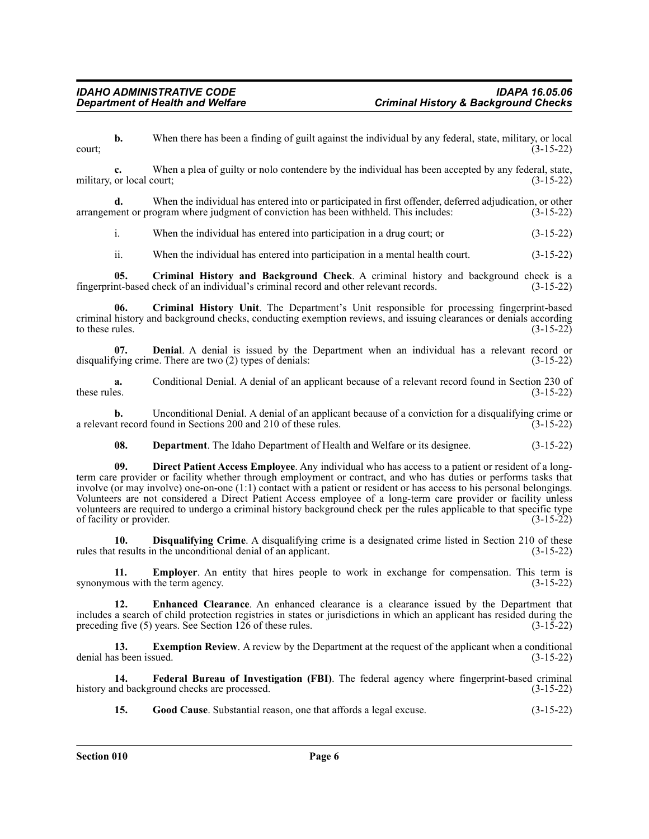**b.** When there has been a finding of guilt against the individual by any federal, state, military, or local  $\frac{1}{3}$  (3-15-22)

**c.** When a plea of guilty or nolo contendere by the individual has been accepted by any federal, state, military, or local court;  $(3-15-22)$ 

**d.** When the individual has entered into or participated in first offender, deferred adjudication, or other arrangement or program where judgment of conviction has been withheld. This includes: (3-15-22)

i. When the individual has entered into participation in a drug court; or (3-15-22)

ii. When the individual has entered into participation in a mental health court. (3-15-22)

**05.** Criminal History and Background Check. A criminal history and background check is a nt-based check of an individual's criminal record and other relevant records. (3-15-22) fingerprint-based check of an individual's criminal record and other relevant records.

**06. Criminal History Unit**. The Department's Unit responsible for processing fingerprint-based criminal history and background checks, conducting exemption reviews, and issuing clearances or denials according to these rules. (3-15-22) to these rules.  $(3-15-22)$ 

**07. Denial**. A denial is issued by the Department when an individual has a relevant record or ving crime. There are two (2) types of denials: (3-15-22) disqualifying crime. There are two  $(2)$  types of denials:

**a.** Conditional Denial. A denial of an applicant because of a relevant record found in Section 230 of these rules. (3-15-22) these rules.  $(3-15-22)$ 

**b.** Unconditional Denial. A denial of an applicant because of a conviction for a disqualifying crime or a relevant record found in Sections 200 and 210 of these rules. (3-15-22)

**08. Department**. The Idaho Department of Health and Welfare or its designee. (3-15-22)

**09. Direct Patient Access Employee**. Any individual who has access to a patient or resident of a longterm care provider or facility whether through employment or contract, and who has duties or performs tasks that involve (or may involve) one-on-one (1:1) contact with a patient or resident or has access to his personal belongings. Volunteers are not considered a Direct Patient Access employee of a long-term care provider or facility unless volunteers are required to undergo a criminal history background check per the rules applicable to that specific type of facility or provider. (3-15-22)

**10. Disqualifying Crime**. A disqualifying crime is a designated crime listed in Section 210 of these rules that results in the unconditional denial of an applicant. (3-15-22)

**11. Employer**. An entity that hires people to work in exchange for compensation. This term is jous with the term agency. (3-15-22) synonymous with the term agency.

**12. Enhanced Clearance**. An enhanced clearance is a clearance issued by the Department that includes a search of child protection registries in states or jurisdictions in which an applicant has resided during the preceding five (5) years. See Section 126 of these rules. (3-15-22)

**13.** Exemption Review. A review by the Department at the request of the applicant when a conditional denial has been issued. (3-15-22)

**14. Federal Bureau of Investigation (FBI)**. The federal agency where fingerprint-based criminal history and background checks are processed. (3-15-22)

**15. Good Cause**. Substantial reason, one that affords a legal excuse. (3-15-22)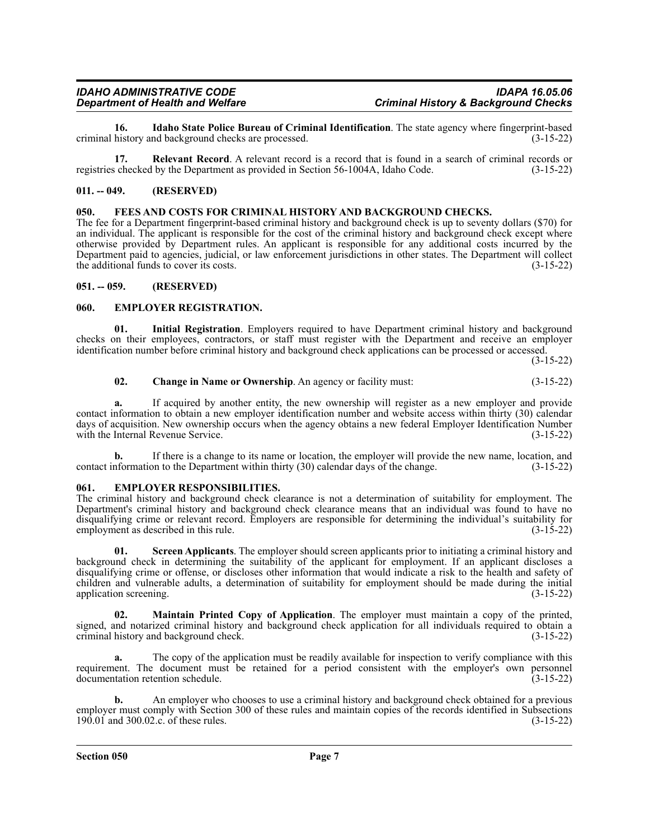**16.** Idaho State Police Bureau of Criminal Identification. The state agency where fingerprint-based history and background checks are processed. criminal history and background checks are processed.

**17. Relevant Record**. A relevant record is a record that is found in a search of criminal records or registries checked by the Department as provided in Section 56-1004A, Idaho Code. (3-15-22)

#### <span id="page-6-0"></span>**011. -- 049. (RESERVED)**

#### <span id="page-6-1"></span>**050. FEES AND COSTS FOR CRIMINAL HISTORY AND BACKGROUND CHECKS.**

The fee for a Department fingerprint-based criminal history and background check is up to seventy dollars (\$70) for an individual. The applicant is responsible for the cost of the criminal history and background check except where otherwise provided by Department rules. An applicant is responsible for any additional costs incurred by the Department paid to agencies, judicial, or law enforcement jurisdictions in other states. The Department will collect the additional funds to cover its costs.  $(3-15-22)$ 

#### <span id="page-6-2"></span>**051. -- 059. (RESERVED)**

#### <span id="page-6-3"></span>**060. EMPLOYER REGISTRATION.**

**01. Initial Registration**. Employers required to have Department criminal history and background checks on their employees, contractors, or staff must register with the Department and receive an employer identification number before criminal history and background check applications can be processed or accessed.

(3-15-22)

### **02. Change in Name or Ownership**. An agency or facility must: (3-15-22)

**a.** If acquired by another entity, the new ownership will register as a new employer and provide contact information to obtain a new employer identification number and website access within thirty (30) calendar days of acquisition. New ownership occurs when the agency obtains a new federal Employer Identification Number with the Internal Revenue Service. (3-15-22)

**b.** If there is a change to its name or location, the employer will provide the new name, location, and contact information to the Department within thirty (30) calendar days of the change. (3-15-22)

#### <span id="page-6-4"></span>**061. EMPLOYER RESPONSIBILITIES.**

The criminal history and background check clearance is not a determination of suitability for employment. The Department's criminal history and background check clearance means that an individual was found to have no disqualifying crime or relevant record. Employers are responsible for determining the individual's suitability for employment as described in this rule. (3-15-22)

**01. Screen Applicants**. The employer should screen applicants prior to initiating a criminal history and background check in determining the suitability of the applicant for employment. If an applicant discloses a disqualifying crime or offense, or discloses other information that would indicate a risk to the health and safety of children and vulnerable adults, a determination of suitability for employment should be made during the initial application screening. (3-15-22)

**02. Maintain Printed Copy of Application**. The employer must maintain a copy of the printed, signed, and notarized criminal history and background check application for all individuals required to obtain a criminal history and background check. (3-15-22)

**a.** The copy of the application must be readily available for inspection to verify compliance with this requirement. The document must be retained for a period consistent with the employer's own personnel documentation retention schedule. (3-15-22) documentation retention schedule.

**b.** An employer who chooses to use a criminal history and background check obtained for a previous employer must comply with Section 300 of these rules and maintain copies of the records identified in Subsections 190.01 and 300.02.c. of these rules. (3-15-22)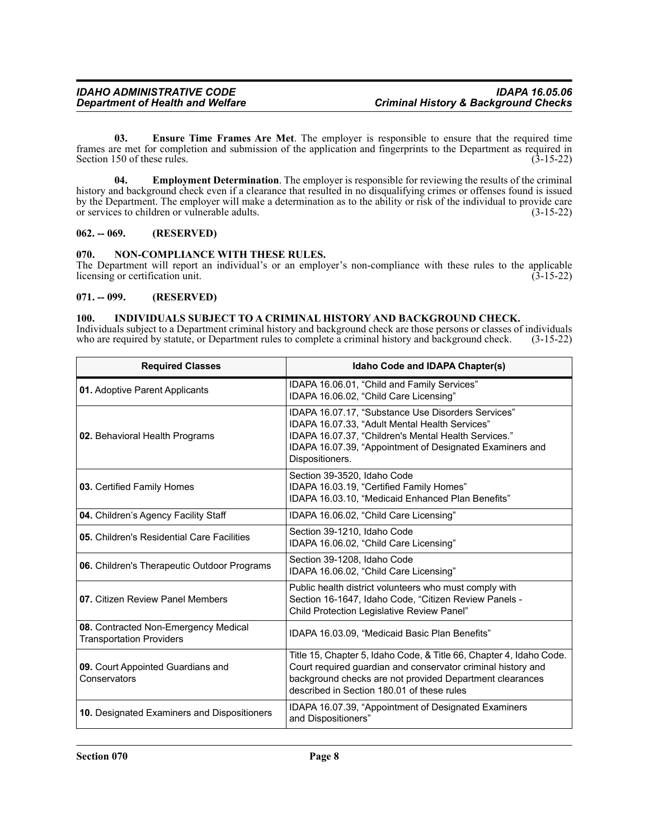**03. Ensure Time Frames Are Met**. The employer is responsible to ensure that the required time frames are met for completion and submission of the application and fingerprints to the Department as required in Section 150 of these rules. (3-15-22) Section 150 of these rules.

**04. Employment Determination**. The employer is responsible for reviewing the results of the criminal history and background check even if a clearance that resulted in no disqualifying crimes or offenses found is issued by the Department. The employer will make a determination as to the ability or risk of the individual to provide care or services to children or vulnerable adults. (3-15-22)

#### <span id="page-7-0"></span>**062. -- 069. (RESERVED)**

#### <span id="page-7-1"></span>**070. NON-COMPLIANCE WITH THESE RULES.**

The Department will report an individual's or an employer's non-compliance with these rules to the applicable licensing or certification unit. (3-15-22) licensing or certification unit.

#### <span id="page-7-2"></span>**071. -- 099. (RESERVED)**

#### <span id="page-7-3"></span>**100. INDIVIDUALS SUBJECT TO A CRIMINAL HISTORY AND BACKGROUND CHECK.**

Individuals subject to a Department criminal history and background check are those persons or classes of individuals who are required by statute, or Department rules to complete a criminal history and background check. (3-15-22)

| <b>Required Classes</b>                                                 | Idaho Code and IDAPA Chapter(s)                                                                                                                                                                                                               |
|-------------------------------------------------------------------------|-----------------------------------------------------------------------------------------------------------------------------------------------------------------------------------------------------------------------------------------------|
| 01. Adoptive Parent Applicants                                          | IDAPA 16.06.01, "Child and Family Services"<br>IDAPA 16.06.02, "Child Care Licensing"                                                                                                                                                         |
| 02. Behavioral Health Programs                                          | IDAPA 16.07.17, "Substance Use Disorders Services"<br>IDAPA 16.07.33, "Adult Mental Health Services"<br>IDAPA 16.07.37, "Children's Mental Health Services."<br>IDAPA 16.07.39, "Appointment of Designated Examiners and<br>Dispositioners.   |
| 03. Certified Family Homes                                              | Section 39-3520, Idaho Code<br>IDAPA 16.03.19, "Certified Family Homes"<br>IDAPA 16.03.10, "Medicaid Enhanced Plan Benefits"                                                                                                                  |
| 04. Children's Agency Facility Staff                                    | IDAPA 16.06.02, "Child Care Licensing"                                                                                                                                                                                                        |
| 05. Children's Residential Care Facilities                              | Section 39-1210, Idaho Code<br>IDAPA 16.06.02, "Child Care Licensing"                                                                                                                                                                         |
| <b>06.</b> Children's Therapeutic Outdoor Programs                      | Section 39-1208, Idaho Code<br>IDAPA 16.06.02, "Child Care Licensing"                                                                                                                                                                         |
| 07. Citizen Review Panel Members                                        | Public health district volunteers who must comply with<br>Section 16-1647, Idaho Code, "Citizen Review Panels -<br>Child Protection Legislative Review Panel"                                                                                 |
| 08. Contracted Non-Emergency Medical<br><b>Transportation Providers</b> | IDAPA 16.03.09, "Medicaid Basic Plan Benefits"                                                                                                                                                                                                |
| 09. Court Appointed Guardians and<br>Conservators                       | Title 15, Chapter 5, Idaho Code, & Title 66, Chapter 4, Idaho Code.<br>Court required guardian and conservator criminal history and<br>background checks are not provided Department clearances<br>described in Section 180.01 of these rules |
| 10. Designated Examiners and Dispositioners                             | IDAPA 16.07.39, "Appointment of Designated Examiners<br>and Dispositioners"                                                                                                                                                                   |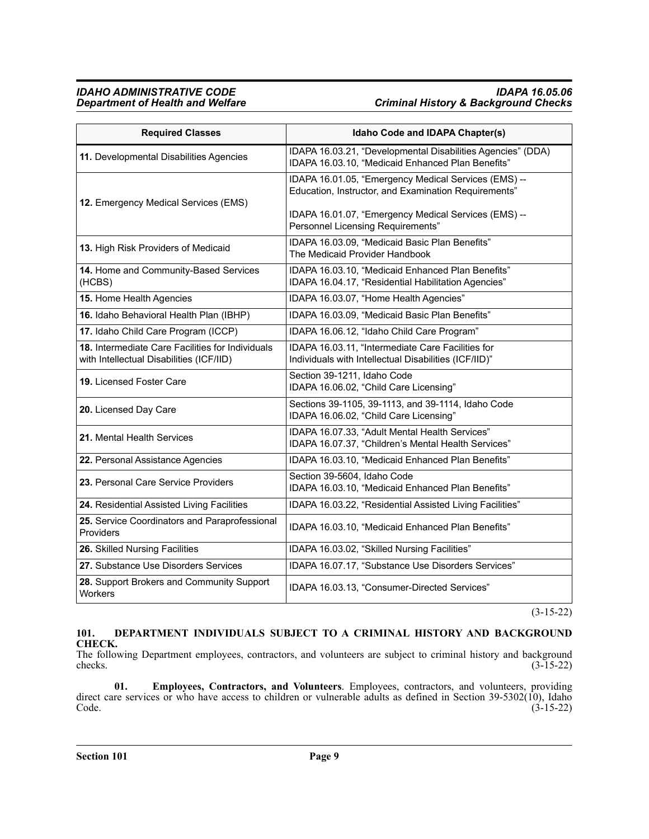#### *IDAHO ADMINISTRATIVE CODE IDAPA 16.05.06 Department of Health and Welfare Criminal History & Background Checks*

| <b>Required Classes</b>                                                                      | Idaho Code and IDAPA Chapter(s)                                                                                  |
|----------------------------------------------------------------------------------------------|------------------------------------------------------------------------------------------------------------------|
| 11. Developmental Disabilities Agencies                                                      | IDAPA 16.03.21, "Developmental Disabilities Agencies" (DDA)<br>IDAPA 16.03.10, "Medicaid Enhanced Plan Benefits" |
| 12. Emergency Medical Services (EMS)                                                         | IDAPA 16.01.05, "Emergency Medical Services (EMS) --<br>Education, Instructor, and Examination Requirements"     |
|                                                                                              | IDAPA 16.01.07, "Emergency Medical Services (EMS) --<br><b>Personnel Licensing Requirements"</b>                 |
| 13. High Risk Providers of Medicaid                                                          | IDAPA 16.03.09, "Medicaid Basic Plan Benefits"<br>The Medicaid Provider Handbook                                 |
| 14. Home and Community-Based Services<br>(HCBS)                                              | IDAPA 16.03.10, "Medicaid Enhanced Plan Benefits"<br>IDAPA 16.04.17, "Residential Habilitation Agencies"         |
| 15. Home Health Agencies                                                                     | IDAPA 16.03.07, "Home Health Agencies"                                                                           |
| 16. Idaho Behavioral Health Plan (IBHP)                                                      | IDAPA 16.03.09, "Medicaid Basic Plan Benefits"                                                                   |
| 17. Idaho Child Care Program (ICCP)                                                          | IDAPA 16.06.12, "Idaho Child Care Program"                                                                       |
| 18. Intermediate Care Facilities for Individuals<br>with Intellectual Disabilities (ICF/IID) | IDAPA 16.03.11, "Intermediate Care Facilities for<br>Individuals with Intellectual Disabilities (ICF/IID)"       |
| <b>19.</b> Licensed Foster Care                                                              | Section 39-1211, Idaho Code<br>IDAPA 16.06.02, "Child Care Licensing"                                            |
| 20. Licensed Day Care                                                                        | Sections 39-1105, 39-1113, and 39-1114, Idaho Code<br>IDAPA 16.06.02, "Child Care Licensing"                     |
| 21. Mental Health Services                                                                   | IDAPA 16.07.33, "Adult Mental Health Services"<br>IDAPA 16.07.37, "Children's Mental Health Services"            |
| 22. Personal Assistance Agencies                                                             | IDAPA 16.03.10, "Medicaid Enhanced Plan Benefits"                                                                |
| 23. Personal Care Service Providers                                                          | Section 39-5604, Idaho Code<br>IDAPA 16.03.10, "Medicaid Enhanced Plan Benefits"                                 |
| 24. Residential Assisted Living Facilities                                                   | IDAPA 16.03.22, "Residential Assisted Living Facilities"                                                         |
| 25. Service Coordinators and Paraprofessional<br>Providers                                   | IDAPA 16.03.10, "Medicaid Enhanced Plan Benefits"                                                                |
| 26. Skilled Nursing Facilities                                                               | IDAPA 16.03.02, "Skilled Nursing Facilities"                                                                     |
| 27. Substance Use Disorders Services                                                         | IDAPA 16.07.17, "Substance Use Disorders Services"                                                               |
| 28. Support Brokers and Community Support<br><b>Workers</b>                                  | IDAPA 16.03.13, "Consumer-Directed Services"                                                                     |

(3-15-22)

### <span id="page-8-0"></span>**101. DEPARTMENT INDIVIDUALS SUBJECT TO A CRIMINAL HISTORY AND BACKGROUND CHECK.**

The following Department employees, contractors, and volunteers are subject to criminal history and background checks. (3-15-22) checks.  $(3-15-22)$ 

**01. Employees, Contractors, and Volunteers**. Employees, contractors, and volunteers, providing direct care services or who have access to children or vulnerable adults as defined in Section 39-5302(10), Idaho Code. (3-15-22) Code. (3-15-22)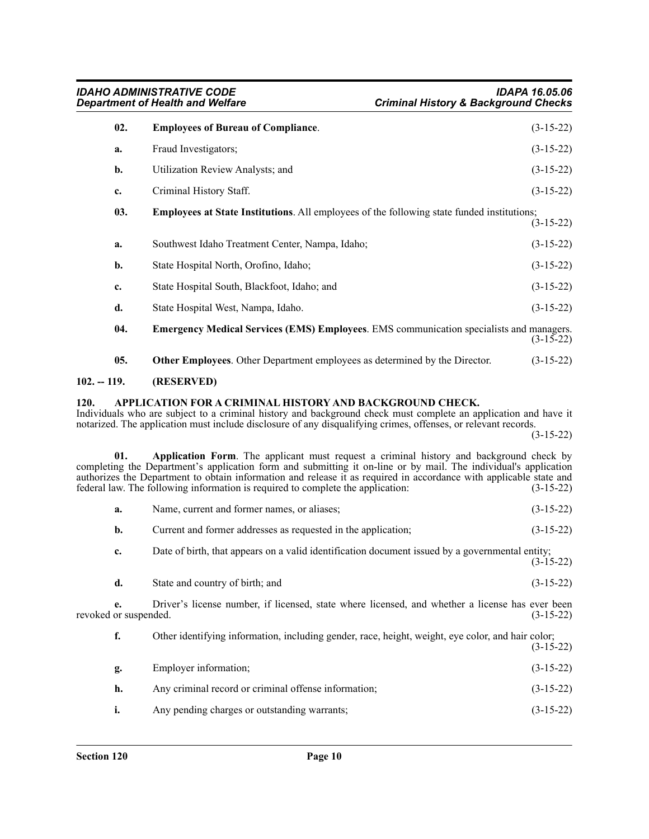| 02.            | <b>Employees of Bureau of Compliance.</b>                                                      | $(3-15-22)$ |
|----------------|------------------------------------------------------------------------------------------------|-------------|
| a.             | Fraud Investigators;                                                                           | $(3-15-22)$ |
| $\mathbf{b}$ . | Utilization Review Analysts; and                                                               | $(3-15-22)$ |
| c.             | Criminal History Staff.                                                                        | $(3-15-22)$ |
| 03.            | Employees at State Institutions. All employees of the following state funded institutions;     | $(3-15-22)$ |
| a.             | Southwest Idaho Treatment Center, Nampa, Idaho;                                                | $(3-15-22)$ |
| b.             | State Hospital North, Orofino, Idaho;                                                          | $(3-15-22)$ |
| c.             | State Hospital South, Blackfoot, Idaho; and                                                    | $(3-15-22)$ |
| d.             | State Hospital West, Nampa, Idaho.                                                             | $(3-15-22)$ |
| 04.            | <b>Emergency Medical Services (EMS) Employees.</b> EMS communication specialists and managers. | $(3-15-22)$ |
| 05.            | Other Employees. Other Department employees as determined by the Director.                     | $(3-15-22)$ |

### <span id="page-9-0"></span>**102. -- 119. (RESERVED)**

#### <span id="page-9-1"></span>**120. APPLICATION FOR A CRIMINAL HISTORY AND BACKGROUND CHECK.**

Individuals who are subject to a criminal history and background check must complete an application and have it notarized. The application must include disclosure of any disqualifying crimes, offenses, or relevant records.

(3-15-22)

**01. Application Form**. The applicant must request a criminal history and background check by completing the Department's application form and submitting it on-line or by mail. The individual's application authorizes the Department to obtain information and release it as required in accordance with applicable state and federal law. The following information is required to complete the application: (3-15-22) federal law. The following information is required to complete the application:

|  | Name, current and former names, or aliases: | $(3-15-22)$ |
|--|---------------------------------------------|-------------|
|--|---------------------------------------------|-------------|

| Current and former addresses as requested in the application:<br>b. | $(3-15-22)$ |  |
|---------------------------------------------------------------------|-------------|--|
|---------------------------------------------------------------------|-------------|--|

**c.** Date of birth, that appears on a valid identification document issued by a governmental entity; (3-15-22)

| d. | State and country of birth: and | $(3-15-22)$ |
|----|---------------------------------|-------------|
|    |                                 |             |

**e.** Driver's license number, if licensed, state where licensed, and whether a license has ever been revoked or suspended. (3-15-22)

**f.** Other identifying information, including gender, race, height, weight, eye color, and hair color;  $(3-15-22)$ 

| 2. | Employer information;                                | $(3-15-22)$ |
|----|------------------------------------------------------|-------------|
| h. | Any criminal record or criminal offense information; | $(3-15-22)$ |
| i. | Any pending charges or outstanding warrants;         | $(3-15-22)$ |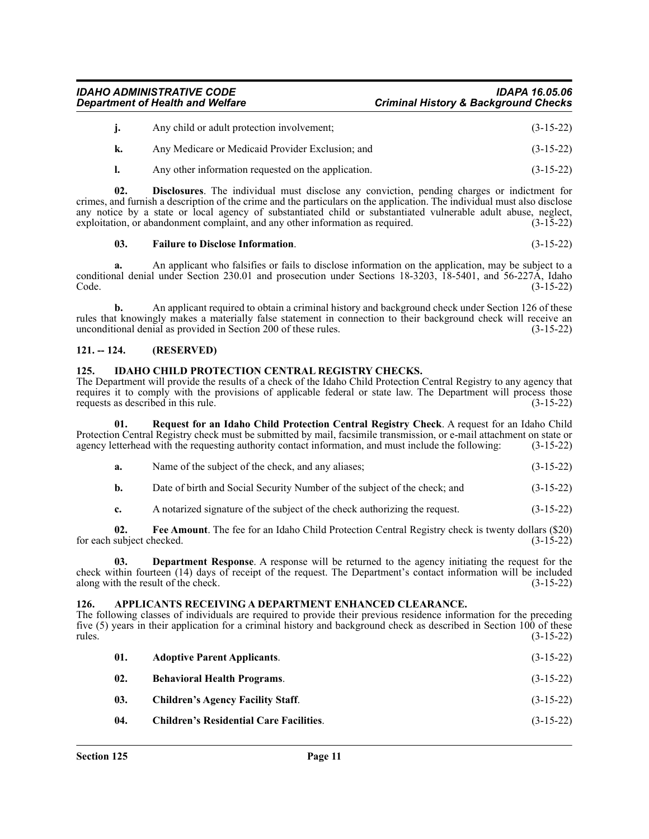*IDAHO ADMINISTRATIVE CODE IDAPA 16.05.06 Department of Health and Welfare Criminal History & Background Checks*

| Any child or adult protection involvement;       | $(3-15-22)$ |
|--------------------------------------------------|-------------|
| Any Medicare or Medicaid Provider Exclusion; and | $(3-15-22)$ |

**l.** Any other information requested on the application. (3-15-22)

**02. Disclosures**. The individual must disclose any conviction, pending charges or indictment for crimes, and furnish a description of the crime and the particulars on the application. The individual must also disclose any notice by a state or local agency of substantiated child or substantiated vulnerable adult abuse, neglect, exploitation, or abandonment complaint, and any other information as required. (3-15-22)

#### **03. Failure to Disclose Information**. (3-15-22)

**a.** An applicant who falsifies or fails to disclose information on the application, may be subject to a conditional denial under Section 230.01 and prosecution under Sections 18-3203, 18-5401, and 56-227A, Idaho Code. (3-15-22)

**b.** An applicant required to obtain a criminal history and background check under Section 126 of these rules that knowingly makes a materially false statement in connection to their background check will receive an unconditional denial as provided in Section 200 of these rules. (3-15-22) unconditional denial as provided in Section 200 of these rules.

### <span id="page-10-0"></span>**121. -- 124. (RESERVED)**

#### <span id="page-10-1"></span>**125. IDAHO CHILD PROTECTION CENTRAL REGISTRY CHECKS.**

The Department will provide the results of a check of the Idaho Child Protection Central Registry to any agency that requires it to comply with the provisions of applicable federal or state law. The Department will process those requests as described in this rule. (3-15-22)

**01. Request for an Idaho Child Protection Central Registry Check**. A request for an Idaho Child Protection Central Registry check must be submitted by mail, facsimile transmission, or e-mail attachment on state or agency letterhead with the requesting authority contact information, and must include the following: (3-15-22)

| $(3-15-22)$<br>Name of the subject of the check, and any aliases:<br>а. |
|-------------------------------------------------------------------------|
|-------------------------------------------------------------------------|

- **b.** Date of birth and Social Security Number of the subject of the check; and  $(3-15-22)$
- **c.** A notarized signature of the subject of the check authorizing the request.  $(3-15-22)$

**02. Fee Amount**. The fee for an Idaho Child Protection Central Registry check is twenty dollars (\$20) for each subject checked.

**03. Department Response**. A response will be returned to the agency initiating the request for the check within fourteen (14) days of receipt of the request. The Department's contact information will be included along with the result of the check. (3-15-22) along with the result of the check.

#### <span id="page-10-2"></span>**126. APPLICANTS RECEIVING A DEPARTMENT ENHANCED CLEARANCE.**

The following classes of individuals are required to provide their previous residence information for the preceding five (5) years in their application for a criminal history and background check as described in Section 100 of these rules. (3-15-22)

| 01. | <b>Adoptive Parent Applicants.</b>             | $(3-15-22)$ |
|-----|------------------------------------------------|-------------|
| 02. | <b>Behavioral Health Programs.</b>             | $(3-15-22)$ |
| 03. | <b>Children's Agency Facility Staff.</b>       | $(3-15-22)$ |
| 04. | <b>Children's Residential Care Facilities.</b> | $(3-15-22)$ |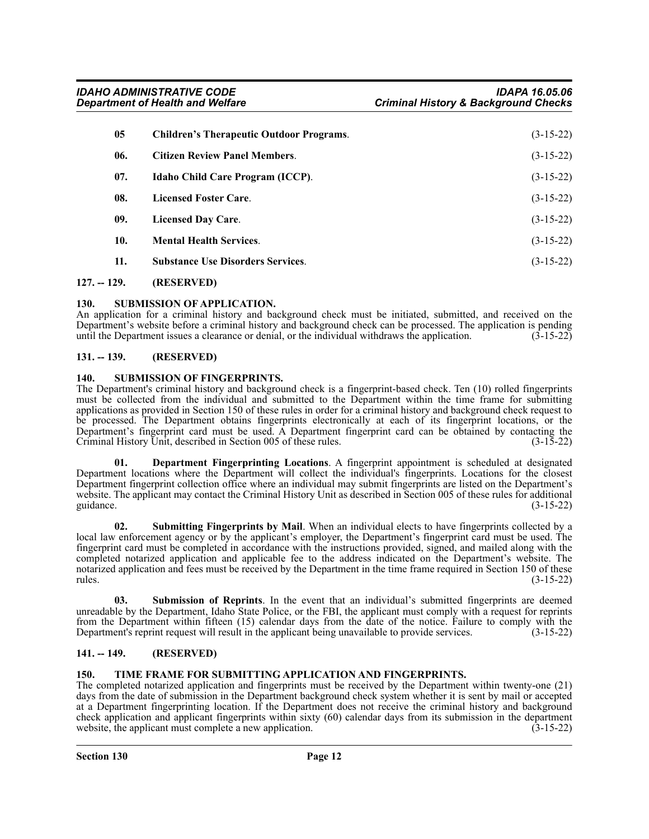| <b>Children's Therapeutic Outdoor Programs.</b> | $(3-15-22)$ |
|-------------------------------------------------|-------------|
| <b>Citizen Review Panel Members.</b>            | $(3-15-22)$ |
| Idaho Child Care Program (ICCP).                | $(3-15-22)$ |
| <b>Licensed Foster Care.</b>                    | $(3-15-22)$ |
| <b>Licensed Day Care.</b>                       | $(3-15-22)$ |
| <b>Mental Health Services.</b>                  | $(3-15-22)$ |
| <b>Substance Use Disorders Services.</b>        | $(3-15-22)$ |
|                                                 |             |

<span id="page-11-0"></span>**127. -- 129. (RESERVED)**

#### <span id="page-11-1"></span>**130. SUBMISSION OF APPLICATION.**

An application for a criminal history and background check must be initiated, submitted, and received on the Department's website before a criminal history and background check can be processed. The application is pending until the Department issues a clearance or denial, or the individual withdraws the application.  $(3-15-22)$ 

#### <span id="page-11-2"></span>**131. -- 139. (RESERVED)**

#### <span id="page-11-3"></span>**140. SUBMISSION OF FINGERPRINTS.**

The Department's criminal history and background check is a fingerprint-based check. Ten (10) rolled fingerprints must be collected from the individual and submitted to the Department within the time frame for submitting applications as provided in Section 150 of these rules in order for a criminal history and background check request to be processed. The Department obtains fingerprints electronically at each of its fingerprint locations, or the Department's fingerprint card must be used. A Department fingerprint card can be obtained by contacting the Criminal History Unit, described in Section 005 of these rules.

**01. Department Fingerprinting Locations**. A fingerprint appointment is scheduled at designated Department locations where the Department will collect the individual's fingerprints. Locations for the closest Department fingerprint collection office where an individual may submit fingerprints are listed on the Department's website. The applicant may contact the Criminal History Unit as described in Section 005 of these rules for additional guidance. (3-15-22)

**02. Submitting Fingerprints by Mail**. When an individual elects to have fingerprints collected by a local law enforcement agency or by the applicant's employer, the Department's fingerprint card must be used. The fingerprint card must be completed in accordance with the instructions provided, signed, and mailed along with the completed notarized application and applicable fee to the address indicated on the Department's website. The notarized application and fees must be received by the Department in the time frame required in Section 150 of these rules. (3-15-22)

**03. Submission of Reprints**. In the event that an individual's submitted fingerprints are deemed unreadable by the Department, Idaho State Police, or the FBI, the applicant must comply with a request for reprints from the Department within fifteen (15) calendar days from the date of the notice. Failure to comply with the Department's reprint request will result in the applicant being unavailable to provide services. (3-15-22)

#### <span id="page-11-4"></span>**141. -- 149. (RESERVED)**

#### <span id="page-11-5"></span>**150. TIME FRAME FOR SUBMITTING APPLICATION AND FINGERPRINTS.**

The completed notarized application and fingerprints must be received by the Department within twenty-one (21) days from the date of submission in the Department background check system whether it is sent by mail or accepted at a Department fingerprinting location. If the Department does not receive the criminal history and background check application and applicant fingerprints within sixty (60) calendar days from its submission in the department website, the applicant must complete a new application. (3-15-22) website, the applicant must complete a new application.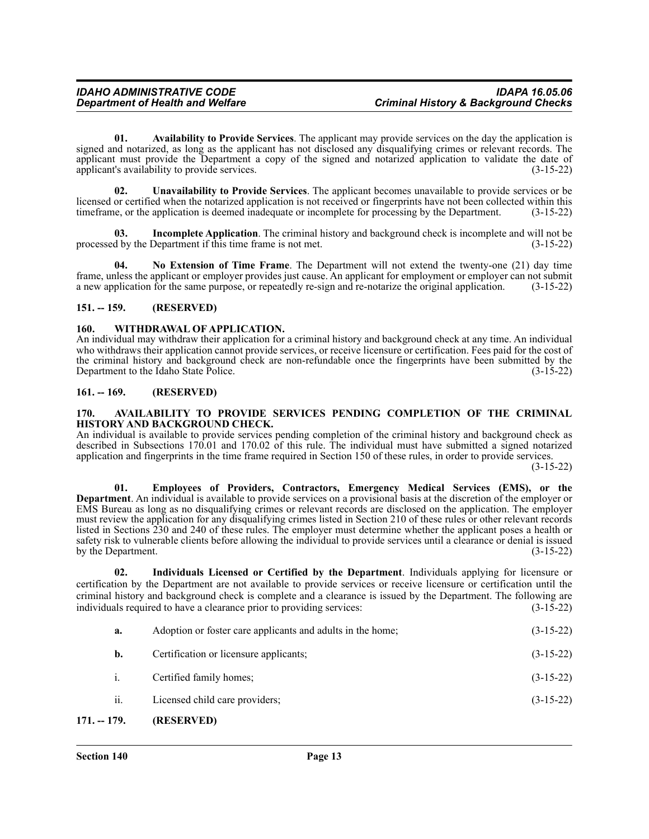**01. Availability to Provide Services**. The applicant may provide services on the day the application is signed and notarized, as long as the applicant has not disclosed any disqualifying crimes or relevant records. The applicant must provide the Department a copy of the signed and notarized application to validate the date of applicant's availability to provide services. (3-15-22)

**02. Unavailability to Provide Services**. The applicant becomes unavailable to provide services or be licensed or certified when the notarized application is not received or fingerprints have not been collected within this timeframe, or the application is deemed inadequate or incomplete for processing by the Department. (3-15-22)

**03. Incomplete Application**. The criminal history and background check is incomplete and will not be processed by the Department if this time frame is not met. (3-15-22)

**04. No Extension of Time Frame**. The Department will not extend the twenty-one (21) day time frame, unless the applicant or employer provides just cause. An applicant for employment or employer can not submit a new application for the same purpose, or repeatedly re-sign and re-notarize the original application. (3-15-22)

#### <span id="page-12-0"></span>**151. -- 159. (RESERVED)**

#### <span id="page-12-1"></span>**160. WITHDRAWAL OF APPLICATION.**

An individual may withdraw their application for a criminal history and background check at any time. An individual who withdraws their application cannot provide services, or receive licensure or certification. Fees paid for the cost of the criminal history and background check are non-refundable once the fingerprints have been submitted by the Department to the Idaho State Police. (3-15-22)

#### <span id="page-12-2"></span>**161. -- 169. (RESERVED)**

#### <span id="page-12-3"></span>**170. AVAILABILITY TO PROVIDE SERVICES PENDING COMPLETION OF THE CRIMINAL HISTORY AND BACKGROUND CHECK.**

An individual is available to provide services pending completion of the criminal history and background check as described in Subsections 170.01 and 170.02 of this rule. The individual must have submitted a signed notarized application and fingerprints in the time frame required in Section 150 of these rules, in order to provide services.

(3-15-22)

**01. Employees of Providers, Contractors, Emergency Medical Services (EMS), or the Department**. An individual is available to provide services on a provisional basis at the discretion of the employer or EMS Bureau as long as no disqualifying crimes or relevant records are disclosed on the application. The employer must review the application for any disqualifying crimes listed in Section 210 of these rules or other relevant records listed in Sections 230 and 240 of these rules. The employer must determine whether the applicant poses a health or safety risk to vulnerable clients before allowing the individual to provide services until a clearance or denial is issued by the Department. (3-15-22)

**02. Individuals Licensed or Certified by the Department**. Individuals applying for licensure or certification by the Department are not available to provide services or receive licensure or certification until the criminal history and background check is complete and a clearance is issued by the Department. The following are individuals required to have a clearance prior to providing services: (3-15-22)

**a.** Adoption or foster care applicants and adults in the home; (3-15-22) **b.** Certification or licensure applicants; (3-15-22) i. Certified family homes; (3-15-22) ii. Licensed child care providers; (3-15-22)

#### <span id="page-12-4"></span>**171. -- 179. (RESERVED)**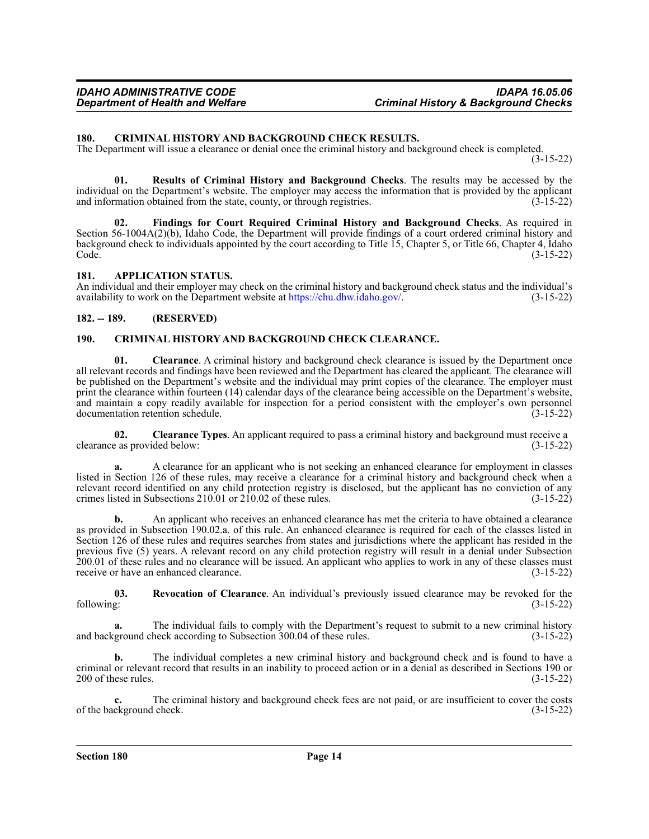#### <span id="page-13-0"></span>**180. CRIMINAL HISTORY AND BACKGROUND CHECK RESULTS.**

The Department will issue a clearance or denial once the criminal history and background check is completed.

(3-15-22)

**01. Results of Criminal History and Background Checks**. The results may be accessed by the individual on the Department's website. The employer may access the information that is provided by the applicant and information obtained from the state, county, or through registries.  $(3-15-22)$ 

**02. Findings for Court Required Criminal History and Background Checks**. As required in Section 56-1004A(2)(b), Idaho Code, the Department will provide findings of a court ordered criminal history and background check to individuals appointed by the court according to Title 15, Chapter 5, or Title 66, Chapter 4, Idaho<br>(3-15-22) Code. (3-15-22)

#### <span id="page-13-1"></span>**181. APPLICATION STATUS.**

An individual and their employer may check on the criminal history and background check status and the individual's availability to work on the Department website at https://chu.dhw.idaho.gov/. (3-15-22) availability to work on the Department website at [https://chu.dhw.idaho.gov/.](https://chu.dhw.idaho.gov/)

#### <span id="page-13-2"></span>**182. -- 189. (RESERVED)**

#### <span id="page-13-3"></span>**190. CRIMINAL HISTORY AND BACKGROUND CHECK CLEARANCE.**

**01.** Clearance. A criminal history and background check clearance is issued by the Department once all relevant records and findings have been reviewed and the Department has cleared the applicant. The clearance will be published on the Department's website and the individual may print copies of the clearance. The employer must print the clearance within fourteen (14) calendar days of the clearance being accessible on the Department's website, and maintain a copy readily available for inspection for a period consistent with the employer's own personnel documentation retention schedule. (3-15-22) documentation retention schedule.

**02. Clearance Types**. An applicant required to pass a criminal history and background must receive a clearance as provided below:

**a.** A clearance for an applicant who is not seeking an enhanced clearance for employment in classes listed in Section 126 of these rules, may receive a clearance for a criminal history and background check when a relevant record identified on any child protection registry is disclosed, but the applicant has no conviction of any crimes listed in Subsections 210.01 or 210.02 of these rules. (3-15-22)

**b.** An applicant who receives an enhanced clearance has met the criteria to have obtained a clearance as provided in Subsection 190.02.a. of this rule. An enhanced clearance is required for each of the classes listed in Section 126 of these rules and requires searches from states and jurisdictions where the applicant has resided in the previous five (5) years. A relevant record on any child protection registry will result in a denial under Subsection 200.01 of these rules and no clearance will be issued. An applicant who applies to work in any of these classes must receive or have an enhanced clearance. (3-15-22)

**03.** Revocation of Clearance. An individual's previously issued clearance may be revoked for the following: (3-15-22) following: (3-15-22)

The individual fails to comply with the Department's request to submit to a new criminal history heck according to Subsection 300.04 of these rules. (3-15-22) and background check according to Subsection 300.04 of these rules.

**b.** The individual completes a new criminal history and background check and is found to have a criminal or relevant record that results in an inability to proceed action or in a denial as described in Sections 190 or 200 of these rules. (3-15-22)

**c.** The criminal history and background check fees are not paid, or are insufficient to cover the costs ckground check. (3-15-22) of the background check.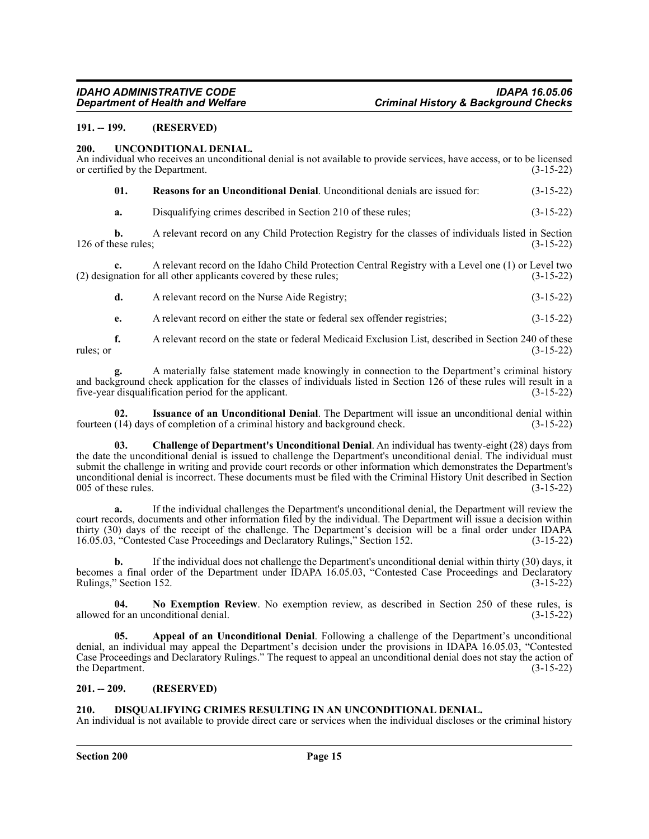#### <span id="page-14-0"></span>**191. -- 199. (RESERVED)**

#### <span id="page-14-1"></span>**200. UNCONDITIONAL DENIAL.**

| An individual who receives an unconditional denial is not available to provide services, have access, or to be licensed<br>$(3-15-22)$<br>or certified by the Department. |                                                                                                                                                                        |             |  |
|---------------------------------------------------------------------------------------------------------------------------------------------------------------------------|------------------------------------------------------------------------------------------------------------------------------------------------------------------------|-------------|--|
| 01.                                                                                                                                                                       | <b>Reasons for an Unconditional Denial.</b> Unconditional denials are issued for:                                                                                      | $(3-15-22)$ |  |
| a.                                                                                                                                                                        | Disqualifying crimes described in Section 210 of these rules;                                                                                                          | $(3-15-22)$ |  |
| b.<br>126 of these rules;                                                                                                                                                 | A relevant record on any Child Protection Registry for the classes of individuals listed in Section<br>$(3-15-22)$                                                     |             |  |
| $c_{\star}$                                                                                                                                                               | A relevant record on the Idaho Child Protection Central Registry with a Level one (1) or Level two<br>(2) designation for all other applicants covered by these rules; | $(3-15-22)$ |  |
| d.                                                                                                                                                                        | A relevant record on the Nurse Aide Registry;                                                                                                                          | $(3-15-22)$ |  |

**e.** A relevant record on either the state or federal sex offender registries; (3-15-22)

**f.** A relevant record on the state or federal Medicaid Exclusion List, described in Section 240 of these (3-15-22)  $r = (3-15-22)$ 

**g.** A materially false statement made knowingly in connection to the Department's criminal history and background check application for the classes of individuals listed in Section 126 of these rules will result in a five-year disqualification period for the applicant. (3-15-22)

**02.** Issuance of an Unconditional Denial. The Department will issue an unconditional denial within (14) days of completion of a criminal history and background check. (3-15-22) fourteen  $(14)$  days of completion of a criminal history and background check.

**03. Challenge of Department's Unconditional Denial**. An individual has twenty-eight (28) days from the date the unconditional denial is issued to challenge the Department's unconditional denial. The individual must submit the challenge in writing and provide court records or other information which demonstrates the Department's unconditional denial is incorrect. These documents must be filed with the Criminal History Unit described in Section 005 of these rules.

**a.** If the individual challenges the Department's unconditional denial, the Department will review the court records, documents and other information filed by the individual. The Department will issue a decision within thirty (30) days of the receipt of the challenge. The Department's decision will be a final order under IDAPA 16.05.03, "Contested Case Proceedings and Declaratory Rulings," Section 152. (3-15-22) 16.05.03, "Contested Case Proceedings and Declaratory Rulings," Section 152.

**b.** If the individual does not challenge the Department's unconditional denial within thirty (30) days, it becomes a final order of the Department under IDAPA 16.05.03, "Contested Case Proceedings and Declaratory Rulings," Section 152.  $(3-15-22)$ 

**04. No Exemption Review**. No exemption review, as described in Section 250 of these rules, is allowed for an unconditional denial. (3-15-22)

**05. Appeal of an Unconditional Denial**. Following a challenge of the Department's unconditional denial, an individual may appeal the Department's decision under the provisions in IDAPA 16.05.03, "Contested Case Proceedings and Declaratory Rulings." The request to appeal an unconditional denial does not stay the action of the Department. (3-15-22)

#### <span id="page-14-2"></span>**201. -- 209. (RESERVED)**

#### <span id="page-14-3"></span>**210. DISQUALIFYING CRIMES RESULTING IN AN UNCONDITIONAL DENIAL.**

An individual is not available to provide direct care or services when the individual discloses or the criminal history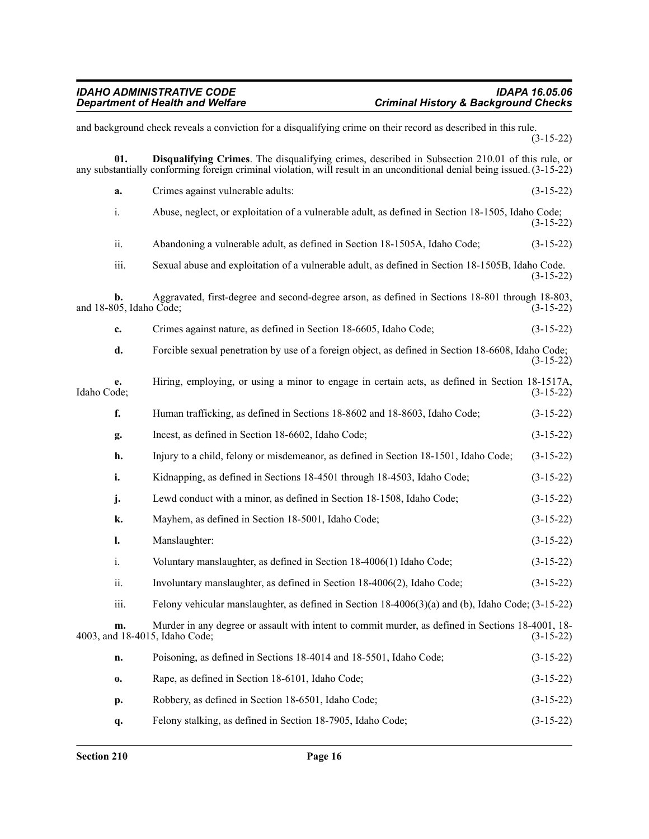and background check reveals a conviction for a disqualifying crime on their record as described in this rule. (3-15-22) **01. Disqualifying Crimes**. The disqualifying crimes, described in Subsection 210.01 of this rule, or any substantially conforming foreign criminal violation, will result in an unconditional denial being issued. (3-15-22) **a.** Crimes against vulnerable adults: (3-15-22) i. Abuse, neglect, or exploitation of a vulnerable adult, as defined in Section 18-1505, Idaho Code; (3-15-22) ii. Abandoning a vulnerable adult, as defined in Section 18-1505A, Idaho Code; (3-15-22) iii. Sexual abuse and exploitation of a vulnerable adult, as defined in Section 18-1505B, Idaho Code. (3-15-22) **b.** Aggravated, first-degree and second-degree arson, as defined in Sections 18-801 through 18-803, and 18-805, Idaho Code; (3-15-22) **c.** Crimes against nature, as defined in Section 18-6605, Idaho Code; (3-15-22) **d.** Forcible sexual penetration by use of a foreign object, as defined in Section 18-6608, Idaho Code; (3-15-22) **e.** Hiring, employing, or using a minor to engage in certain acts, as defined in Section 18-1517A, Idaho Code; (3-15-22) Idaho Code; (3-15-22) **f.** Human trafficking, as defined in Sections 18-8602 and 18-8603, Idaho Code; (3-15-22) **g.** Incest, as defined in Section 18-6602, Idaho Code; (3-15-22) **h.** Injury to a child, felony or misdemeanor, as defined in Section 18-1501, Idaho Code; (3-15-22) **i.** Kidnapping, as defined in Sections 18-4501 through 18-4503, Idaho Code; (3-15-22) **j.** Lewd conduct with a minor, as defined in Section 18-1508, Idaho Code;  $(3-15-22)$ **k.** Mayhem, as defined in Section 18-5001, Idaho Code; (3-15-22) **l.** Manslaughter: (3-15-22) i. Voluntary manslaughter, as defined in Section 18-4006(1) Idaho Code; (3-15-22) ii. Involuntary manslaughter, as defined in Section 18-4006(2), Idaho Code; (3-15-22) iii. Felony vehicular manslaughter, as defined in Section 18-4006(3)(a) and (b), Idaho Code; (3-15-22) **m.** Murder in any degree or assault with intent to commit murder, as defined in Sections 18-4001, 18-<br>d 18-4015, Idaho Code; (3-15-22) 4003, and 18-4015, Idaho Code; **n.** Poisoning, as defined in Sections 18-4014 and 18-5501, Idaho Code; (3-15-22) **o.** Rape, as defined in Section 18-6101, Idaho Code; (3-15-22) **p.** Robbery, as defined in Section 18-6501, Idaho Code; (3-15-22) **q.** Felony stalking, as defined in Section 18-7905, Idaho Code; (3-15-22)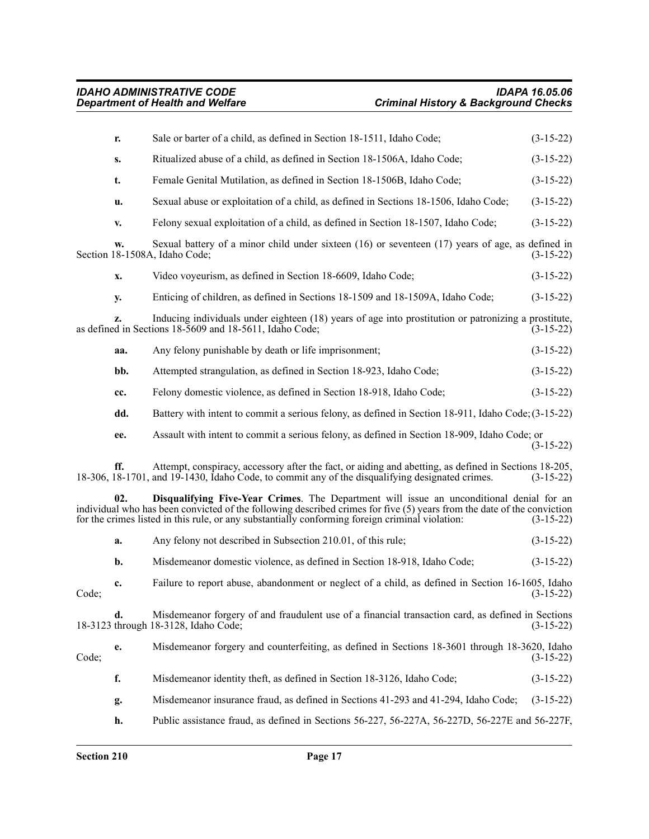|       | r.  | Sale or barter of a child, as defined in Section 18-1511, Idaho Code;                                                                                                                                                                                                                                                 | $(3-15-22)$ |
|-------|-----|-----------------------------------------------------------------------------------------------------------------------------------------------------------------------------------------------------------------------------------------------------------------------------------------------------------------------|-------------|
|       | S.  | Ritualized abuse of a child, as defined in Section 18-1506A, Idaho Code;                                                                                                                                                                                                                                              | $(3-15-22)$ |
|       | t.  | Female Genital Mutilation, as defined in Section 18-1506B, Idaho Code;                                                                                                                                                                                                                                                | $(3-15-22)$ |
|       | u.  | Sexual abuse or exploitation of a child, as defined in Sections 18-1506, Idaho Code;                                                                                                                                                                                                                                  | $(3-15-22)$ |
|       | v.  | Felony sexual exploitation of a child, as defined in Section 18-1507, Idaho Code;                                                                                                                                                                                                                                     | $(3-15-22)$ |
|       | w.  | Sexual battery of a minor child under sixteen $(16)$ or seventeen $(17)$ years of age, as defined in<br>Section 18-1508A, Idaho Code;                                                                                                                                                                                 | $(3-15-22)$ |
|       | x.  | Video voyeurism, as defined in Section 18-6609, Idaho Code;                                                                                                                                                                                                                                                           | $(3-15-22)$ |
|       | у.  | Enticing of children, as defined in Sections 18-1509 and 18-1509A, Idaho Code;                                                                                                                                                                                                                                        | $(3-15-22)$ |
|       | z.  | Inducing individuals under eighteen (18) years of age into prostitution or patronizing a prostitute,<br>as defined in Sections 18-5609 and 18-5611, Idaho Code;                                                                                                                                                       | $(3-15-22)$ |
|       | aa. | Any felony punishable by death or life imprisonment;                                                                                                                                                                                                                                                                  | $(3-15-22)$ |
|       | bb. | Attempted strangulation, as defined in Section 18-923, Idaho Code;                                                                                                                                                                                                                                                    | $(3-15-22)$ |
|       | cc. | Felony domestic violence, as defined in Section 18-918, Idaho Code;                                                                                                                                                                                                                                                   | $(3-15-22)$ |
|       | dd. | Battery with intent to commit a serious felony, as defined in Section 18-911, Idaho Code; (3-15-22)                                                                                                                                                                                                                   |             |
|       | ee. | Assault with intent to commit a serious felony, as defined in Section 18-909, Idaho Code; or                                                                                                                                                                                                                          | $(3-15-22)$ |
|       | ff. | Attempt, conspiracy, accessory after the fact, or aiding and abetting, as defined in Sections 18-205,<br>18-306, 18-1701, and 19-1430, Idaho Code, to commit any of the disqualifying designated crimes.                                                                                                              | $(3-15-22)$ |
|       | 02. | Disqualifying Five-Year Crimes. The Department will issue an unconditional denial for an<br>individual who has been convicted of the following described crimes for five (5) years from the date of the conviction<br>for the crimes listed in this rule, or any substantially conforming foreign criminal violation: | $(3-15-22)$ |
|       | a.  | Any felony not described in Subsection 210.01, of this rule;                                                                                                                                                                                                                                                          | $(3-15-22)$ |
|       | b.  | Misdemeanor domestic violence, as defined in Section 18-918, Idaho Code;                                                                                                                                                                                                                                              | $(3-15-22)$ |
| Code; | c.  | Failure to report abuse, abandonment or neglect of a child, as defined in Section 16-1605, Idaho                                                                                                                                                                                                                      | $(3-15-22)$ |
|       | d.  | Misdemeanor forgery of and fraudulent use of a financial transaction card, as defined in Sections<br>18-3123 through 18-3128, Idaho Code;                                                                                                                                                                             | $(3-15-22)$ |
| Code; | e.  | Misdemeanor forgery and counterfeiting, as defined in Sections 18-3601 through 18-3620, Idaho                                                                                                                                                                                                                         | $(3-15-22)$ |
|       | f.  | Misdemeanor identity theft, as defined in Section 18-3126, Idaho Code;                                                                                                                                                                                                                                                | $(3-15-22)$ |
|       | g.  | Misdemeanor insurance fraud, as defined in Sections 41-293 and 41-294, Idaho Code;                                                                                                                                                                                                                                    | $(3-15-22)$ |
|       | h.  | Public assistance fraud, as defined in Sections 56-227, 56-227A, 56-227D, 56-227E and 56-227F,                                                                                                                                                                                                                        |             |
|       |     |                                                                                                                                                                                                                                                                                                                       |             |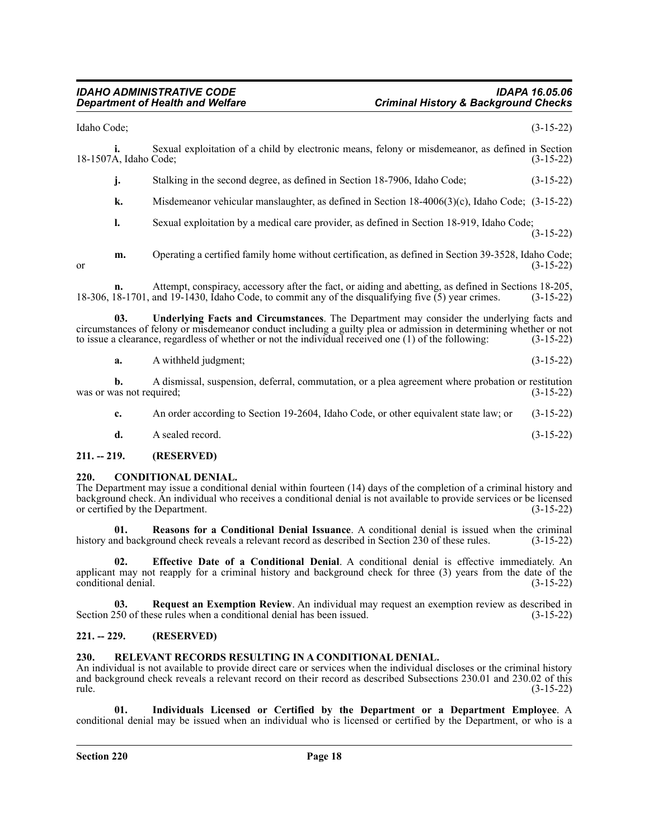#### *IDAHO ADMINISTRATIVE CODE IDAPA 16.05.06 Department of Health and Welfare Criminal History & Background Checks*

Idaho Code; (3-15-22)

| 18-1507A, Idaho Code;    | Ĺ.  | Sexual exploitation of a child by electronic means, felony or misdemeanor, as defined in Section                                                                                                                                                                                                                        | $(3-15-22)$ |
|--------------------------|-----|-------------------------------------------------------------------------------------------------------------------------------------------------------------------------------------------------------------------------------------------------------------------------------------------------------------------------|-------------|
|                          | j.  | Stalking in the second degree, as defined in Section 18-7906, Idaho Code;                                                                                                                                                                                                                                               | $(3-15-22)$ |
|                          | k.  | Misdemeanor vehicular manslaughter, as defined in Section $18-4006(3)(c)$ , Idaho Code; $(3-15-22)$                                                                                                                                                                                                                     |             |
|                          | 1.  | Sexual exploitation by a medical care provider, as defined in Section 18-919, Idaho Code;                                                                                                                                                                                                                               | $(3-15-22)$ |
| <sub>or</sub>            | m.  | Operating a certified family home without certification, as defined in Section 39-3528, Idaho Code;                                                                                                                                                                                                                     | $(3-15-22)$ |
|                          | n.  | Attempt, conspiracy, accessory after the fact, or aiding and abetting, as defined in Sections 18-205,<br>18-306, 18-1701, and 19-1430, Idaho Code, to commit any of the disqualifying five (5) year crimes.                                                                                                             | $(3-15-22)$ |
|                          | 03. | Underlying Facts and Circumstances. The Department may consider the underlying facts and<br>circumstances of felony or misdemeanor conduct including a guilty plea or admission in determining whether or not<br>to issue a clearance, regardless of whether or not the individual received one $(1)$ of the following: | $(3-15-22)$ |
|                          | a.  | A withheld judgment;                                                                                                                                                                                                                                                                                                    | $(3-15-22)$ |
| was or was not required; | b.  | A dismissal, suspension, deferral, commutation, or a plea agreement where probation or restitution                                                                                                                                                                                                                      | $(3-15-22)$ |
|                          | c.  | An order according to Section 19-2604, Idaho Code, or other equivalent state law; or                                                                                                                                                                                                                                    | $(3-15-22)$ |

**d.** A sealed record. (3-15-22)

### <span id="page-17-0"></span>**211. -- 219. (RESERVED)**

#### <span id="page-17-1"></span>**220. CONDITIONAL DENIAL.**

The Department may issue a conditional denial within fourteen (14) days of the completion of a criminal history and background check. An individual who receives a conditional denial is not available to provide services or be licensed<br>or certified by the Department. (3-15-22) or certified by the Department.

**01. Reasons for a Conditional Denial Issuance**. A conditional denial is issued when the criminal history and background check reveals a relevant record as described in Section 230 of these rules.

**02. Effective Date of a Conditional Denial**. A conditional denial is effective immediately. An applicant may not reapply for a criminal history and background check for three (3) years from the date of the conditional denial. (3-15-22) conditional denial.

**03. Request an Exemption Review**. An individual may request an exemption review as described in Section 250 of these rules when a conditional denial has been issued. (3-15-22)

#### <span id="page-17-2"></span>**221. -- 229. (RESERVED)**

#### <span id="page-17-3"></span>**230. RELEVANT RECORDS RESULTING IN A CONDITIONAL DENIAL.**

An individual is not available to provide direct care or services when the individual discloses or the criminal history and background check reveals a relevant record on their record as described Subsections 230.01 and 230.02 of this rule. (3-15-22)

**01. Individuals Licensed or Certified by the Department or a Department Employee**. A conditional denial may be issued when an individual who is licensed or certified by the Department, or who is a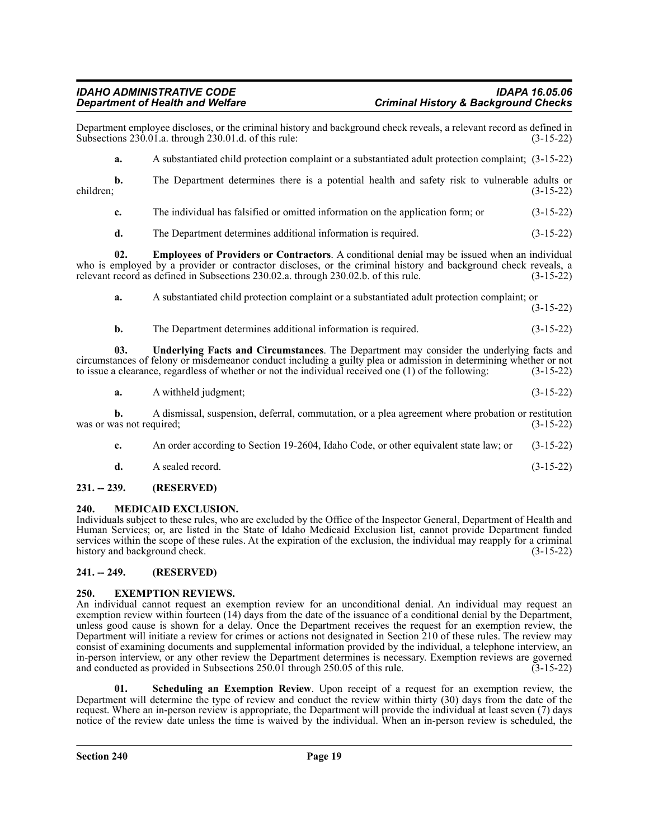Department employee discloses, or the criminal history and background check reveals, a relevant record as defined in Subsections 230.01.a. through 230.01.d. of this rule: (3-15-22) Subsections  $230.01$ .a. through  $230.01$ .d. of this rule:

**a.** A substantiated child protection complaint or a substantiated adult protection complaint; (3-15-22)

**b.** The Department determines there is a potential health and safety risk to vulnerable adults or children; (3-15-22) children; (3-15-22)

- **c.** The individual has falsified or omitted information on the application form; or (3-15-22)
- **d.** The Department determines additional information is required. (3-15-22)

**02. Employees of Providers or Contractors**. A conditional denial may be issued when an individual who is employed by a provider or contractor discloses, or the criminal history and background check reveals, a relevant record as defined in Subsections 230.02.a. through 230.02.b. of this rule. (3-15-22)

**a.** A substantiated child protection complaint or a substantiated adult protection complaint; or (3-15-22)

**b.** The Department determines additional information is required. (3-15-22)

**03. Underlying Facts and Circumstances**. The Department may consider the underlying facts and circumstances of felony or misdemeanor conduct including a guilty plea or admission in determining whether or not to issue a clearance, regardless of whether or not the individual received one (1) of the following: (3-15-22)

**a.** A withheld judgment; (3-15-22)

**b.** A dismissal, suspension, deferral, commutation, or a plea agreement where probation or restitution was or was not required;  $(3-15-22)$ 

- **c.** An order according to Section 19-2604, Idaho Code, or other equivalent state law; or (3-15-22)
- **d.** A sealed record. (3-15-22)

# <span id="page-18-0"></span>**231. -- 239. (RESERVED)**

# <span id="page-18-1"></span>**240. MEDICAID EXCLUSION.**

Individuals subject to these rules, who are excluded by the Office of the Inspector General, Department of Health and Human Services; or, are listed in the State of Idaho Medicaid Exclusion list, cannot provide Department funded services within the scope of these rules. At the expiration of the exclusion, the individual may reapply for a criminal history and background check. (3-15-22)

# <span id="page-18-2"></span>**241. -- 249. (RESERVED)**

# <span id="page-18-3"></span>**250. EXEMPTION REVIEWS.**

An individual cannot request an exemption review for an unconditional denial. An individual may request an exemption review within fourteen (14) days from the date of the issuance of a conditional denial by the Department, unless good cause is shown for a delay. Once the Department receives the request for an exemption review, the Department will initiate a review for crimes or actions not designated in Section 210 of these rules. The review may consist of examining documents and supplemental information provided by the individual, a telephone interview, an in-person interview, or any other review the Department determines is necessary. Exemption reviews are governed and conducted as provided in Subsections 250.01 through 250.05 of this rule. (3-15-22)

**01. Scheduling an Exemption Review**. Upon receipt of a request for an exemption review, the Department will determine the type of review and conduct the review within thirty (30) days from the date of the request. Where an in-person review is appropriate, the Department will provide the individual at least seven (7) days notice of the review date unless the time is waived by the individual. When an in-person review is scheduled, the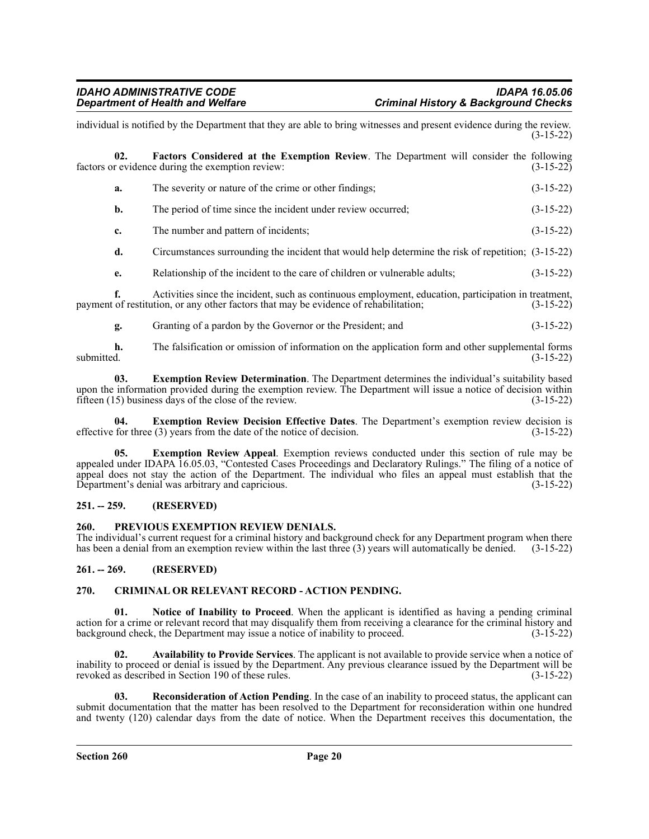|                                                                                                                                                                  | individual is notified by the Department that they are able to bring witnesses and present evidence during the review.                                                                       | $(3-15-22)$ |  |
|------------------------------------------------------------------------------------------------------------------------------------------------------------------|----------------------------------------------------------------------------------------------------------------------------------------------------------------------------------------------|-------------|--|
| Factors Considered at the Exemption Review. The Department will consider the following<br>02.<br>factors or evidence during the exemption review:<br>$(3-15-22)$ |                                                                                                                                                                                              |             |  |
| a.                                                                                                                                                               | The severity or nature of the crime or other findings;                                                                                                                                       | $(3-15-22)$ |  |
| b.                                                                                                                                                               | The period of time since the incident under review occurred;                                                                                                                                 | $(3-15-22)$ |  |
| c.                                                                                                                                                               | The number and pattern of incidents;                                                                                                                                                         | $(3-15-22)$ |  |
| d.                                                                                                                                                               | Circumstances surrounding the incident that would help determine the risk of repetition; (3-15-22)                                                                                           |             |  |
| e.                                                                                                                                                               | Relationship of the incident to the care of children or vulnerable adults;                                                                                                                   | $(3-15-22)$ |  |
| f.                                                                                                                                                               | Activities since the incident, such as continuous employment, education, participation in treatment,<br>payment of restitution, or any other factors that may be evidence of rehabilitation; | $(3-15-22)$ |  |
| g.                                                                                                                                                               | Granting of a pardon by the Governor or the President; and                                                                                                                                   | $(3-15-22)$ |  |

**h.** The falsification or omission of information on the application form and other supplemental forms submitted.  $(3-15-22)$ 

**03. Exemption Review Determination**. The Department determines the individual's suitability based upon the information provided during the exemption review. The Department will issue a notice of decision within fifteen (15) business days of the close of the review. fifteen  $(15)$  business days of the close of the review.

**04. Exemption Review Decision Effective Dates**. The Department's exemption review decision is effective for three (3) years from the date of the notice of decision. (3-15-22)

**05. Exemption Review Appeal**. Exemption reviews conducted under this section of rule may be appealed under IDAPA 16.05.03, "Contested Cases Proceedings and Declaratory Rulings." The filing of a notice of appeal does not stay the action of the Department. The individual who files an appeal must establish that the Department's denial was arbitrary and capricious. (3-15-22)

#### <span id="page-19-0"></span>**251. -- 259. (RESERVED)**

#### <span id="page-19-1"></span>**260. PREVIOUS EXEMPTION REVIEW DENIALS.**

The individual's current request for a criminal history and background check for any Department program when there has been a denial from an exemption review within the last three (3) years will automatically be denied. (3-15-22)

#### <span id="page-19-2"></span>**261. -- 269. (RESERVED)**

#### <span id="page-19-3"></span>**270. CRIMINAL OR RELEVANT RECORD - ACTION PENDING.**

**01. Notice of Inability to Proceed**. When the applicant is identified as having a pending criminal action for a crime or relevant record that may disqualify them from receiving a clearance for the criminal history and background check, the Department may issue a notice of inability to proceed. (3-15-22)

**02. Availability to Provide Services**. The applicant is not available to provide service when a notice of inability to proceed or denial is issued by the Department. Any previous clearance issued by the Department will be revoked as described in Section 190 of these rules. (3-15-22)

**03. Reconsideration of Action Pending**. In the case of an inability to proceed status, the applicant can submit documentation that the matter has been resolved to the Department for reconsideration within one hundred and twenty (120) calendar days from the date of notice. When the Department receives this documentation, the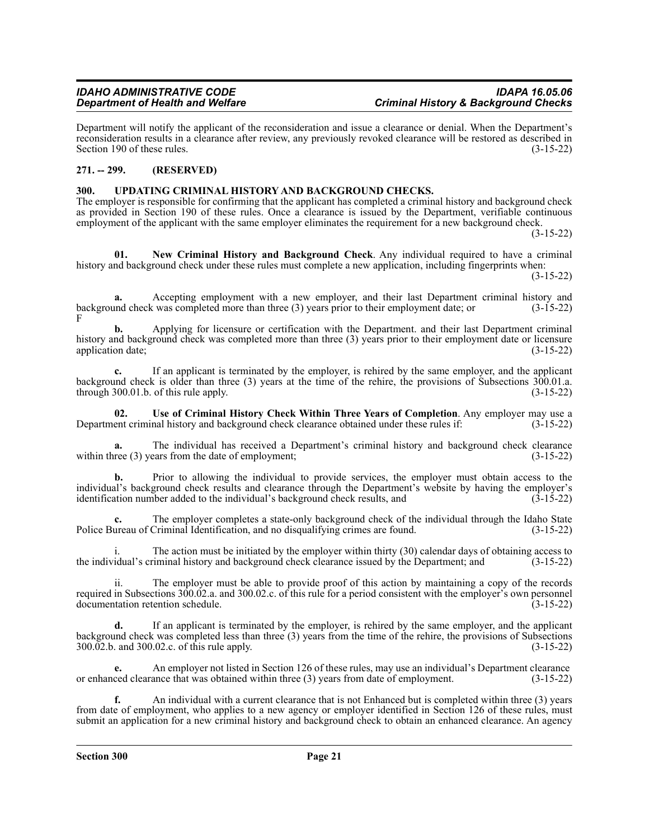Department will notify the applicant of the reconsideration and issue a clearance or denial. When the Department's reconsideration results in a clearance after review, any previously revoked clearance will be restored as described in Section 190 of these rules. (3-15-22)

### <span id="page-20-0"></span>**271. -- 299. (RESERVED)**

#### <span id="page-20-1"></span>**300. UPDATING CRIMINAL HISTORY AND BACKGROUND CHECKS.**

The employer is responsible for confirming that the applicant has completed a criminal history and background check as provided in Section 190 of these rules. Once a clearance is issued by the Department, verifiable continuous employment of the applicant with the same employer eliminates the requirement for a new background check.

(3-15-22)

**01. New Criminal History and Background Check**. Any individual required to have a criminal history and background check under these rules must complete a new application, including fingerprints when: (3-15-22)

**a.** Accepting employment with a new employer, and their last Department criminal history and background check was completed more than three (3) years prior to their employment date; or (3-15-22) F

**b.** Applying for licensure or certification with the Department. and their last Department criminal history and background check was completed more than three (3) years prior to their employment date or licensure application date;<br>(3-15-22) application date;

**c.** If an applicant is terminated by the employer, is rehired by the same employer, and the applicant background check is older than three (3) years at the time of the rehire, the provisions of Subsections 300.01.a. through 300.01.b. of this rule apply.  $(3-15-22)$ 

**02. Use of Criminal History Check Within Three Years of Completion**. Any employer may use a Department criminal history and background check clearance obtained under these rules if: (3-15-22)

**a.** The individual has received a Department's criminal history and background check clearance within three (3) years from the date of employment;  $(3-15-22)$ 

**b.** Prior to allowing the individual to provide services, the employer must obtain access to the individual's background check results and clearance through the Department's website by having the employer's identification number added to the individual's background check results, and (3-15-22)

**c.** The employer completes a state-only background check of the individual through the Idaho State Police Bureau of Criminal Identification, and no disqualifying crimes are found. (3-15-22)

i. The action must be initiated by the employer within thirty (30) calendar days of obtaining access to the individual's criminal history and background check clearance issued by the Department; and (3-15-22)

ii. The employer must be able to provide proof of this action by maintaining a copy of the records required in Subsections 300.02.a. and 300.02.c. of this rule for a period consistent with the employer's own personnel documentation retention schedule. (3-15-22) documentation retention schedule.

**d.** If an applicant is terminated by the employer, is rehired by the same employer, and the applicant background check was completed less than three (3) years from the time of the rehire, the provisions of Subsections 300.02.b. and 300.02.c. of this rule apply.  $300.\overline{02}$ .b. and  $300.02$ .c. of this rule apply.

**e.** An employer not listed in Section 126 of these rules, may use an individual's Department clearance or enhanced clearance that was obtained within three (3) years from date of employment. (3-15-22)

**f.** An individual with a current clearance that is not Enhanced but is completed within three (3) years from date of employment, who applies to a new agency or employer identified in Section 126 of these rules, must submit an application for a new criminal history and background check to obtain an enhanced clearance. An agency